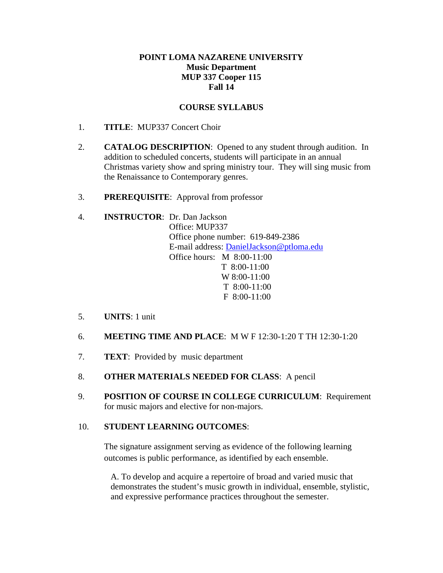### **POINT LOMA NAZARENE UNIVERSITY Music Department MUP 337 Cooper 115 Fall 14**

### **COURSE SYLLABUS**

- 1. **TITLE**: MUP337 Concert Choir
- 2. **CATALOG DESCRIPTION**: Opened to any student through audition. In addition to scheduled concerts, students will participate in an annual Christmas variety show and spring ministry tour. They will sing music from the Renaissance to Contemporary genres.
- 3. **PREREQUISITE**: Approval from professor

## 4. **INSTRUCTOR**: Dr. Dan Jackson Office: MUP337 Office phone number: 619-849-2386 E-mail address: DanielJackson@ptloma.edu Office hours: M 8:00-11:00 T 8:00-11:00 W 8:00-11:00 T 8:00-11:00 F 8:00-11:00

- 5. **UNITS**: 1 unit
- 6. **MEETING TIME AND PLACE**: M W F 12:30-1:20 T TH 12:30-1:20
- 7. **TEXT**: Provided by music department
- 8. **OTHER MATERIALS NEEDED FOR CLASS**: A pencil
- 9. **POSITION OF COURSE IN COLLEGE CURRICULUM**: Requirement for music majors and elective for non-majors.

#### 10. **STUDENT LEARNING OUTCOMES**:

The signature assignment serving as evidence of the following learning outcomes is public performance, as identified by each ensemble.

A. To develop and acquire a repertoire of broad and varied music that demonstrates the student's music growth in individual, ensemble, stylistic, and expressive performance practices throughout the semester.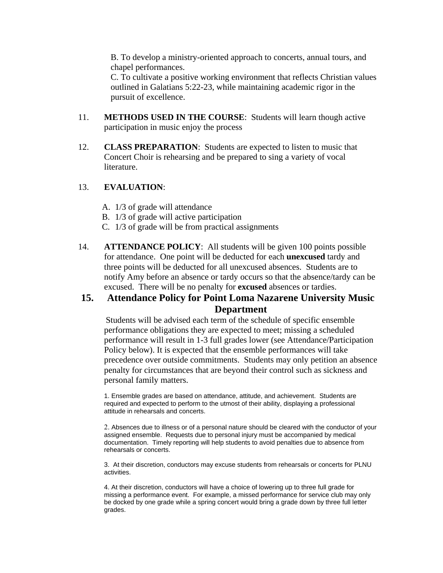B. To develop a ministry-oriented approach to concerts, annual tours, and chapel performances.

C. To cultivate a positive working environment that reflects Christian values outlined in Galatians 5:22-23, while maintaining academic rigor in the pursuit of excellence.

- 11. **METHODS USED IN THE COURSE**: Students will learn though active participation in music enjoy the process
- 12. **CLASS PREPARATION**: Students are expected to listen to music that Concert Choir is rehearsing and be prepared to sing a variety of vocal literature.

#### 13. **EVALUATION**:

- A. 1/3 of grade will attendance
- B. 1/3 of grade will active participation
- C. 1/3 of grade will be from practical assignments
- 14. **ATTENDANCE POLICY**: All students will be given 100 points possible for attendance. One point will be deducted for each **unexcused** tardy and three points will be deducted for all unexcused absences. Students are to notify Amy before an absence or tardy occurs so that the absence/tardy can be excused. There will be no penalty for **excused** absences or tardies.

# **15. Attendance Policy for Point Loma Nazarene University Music Department**

Students will be advised each term of the schedule of specific ensemble performance obligations they are expected to meet; missing a scheduled performance will result in 1-3 full grades lower (see Attendance/Participation Policy below). It is expected that the ensemble performances will take precedence over outside commitments. Students may only petition an absence penalty for circumstances that are beyond their control such as sickness and personal family matters.

1. Ensemble grades are based on attendance, attitude, and achievement. Students are required and expected to perform to the utmost of their ability, displaying a professional attitude in rehearsals and concerts.

Absences due to illness or of a personal nature should be cleared with the conductor of your assigned ensemble. Requests due to personal injury must be accompanied by medical documentation. Timely reporting will help students to avoid penalties due to absence from rehearsals or concerts.

3. At their discretion, conductors may excuse students from rehearsals or concerts for PLNU activities.

4. At their discretion, conductors will have a choice of lowering up to three full grade for missing a performance event. For example, a missed performance for service club may only be docked by one grade while a spring concert would bring a grade down by three full letter grades.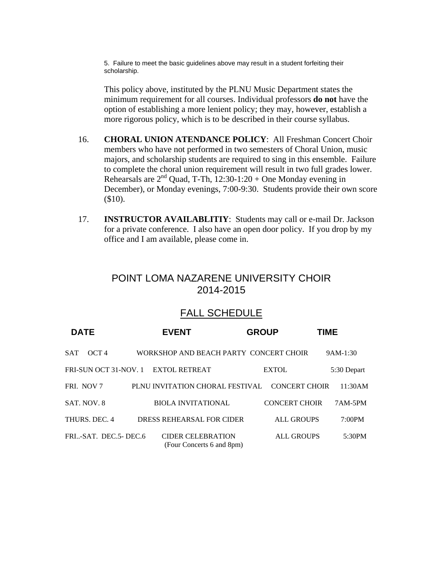5. Failure to meet the basic guidelines above may result in a student forfeiting their scholarship.

This policy above, instituted by the PLNU Music Department states the minimum requirement for all courses. Individual professors **do not** have the option of establishing a more lenient policy; they may, however, establish a more rigorous policy, which is to be described in their course syllabus.

- 16. **CHORAL UNION ATENDANCE POLICY**: All Freshman Concert Choir members who have not performed in two semesters of Choral Union, music majors, and scholarship students are required to sing in this ensemble. Failure to complete the choral union requirement will result in two full grades lower. Rehearsals are  $2<sup>nd</sup>$  Quad, T-Th, 12:30-1:20 + One Monday evening in December), or Monday evenings, 7:00-9:30. Students provide their own score (\$10).
- 17. **INSTRUCTOR AVAILABLITIY**: Students may call or e-mail Dr. Jackson for a private conference. I also have an open door policy. If you drop by my office and I am available, please come in.

# POINT LOMA NAZARENE UNIVERSITY CHOIR 2014-2015

# FALL SCHEDULE

| <b>DATE</b>                    | <b>EVENT</b>                                          | <b>GROUP</b> |                      | <b>TIME</b> |             |
|--------------------------------|-------------------------------------------------------|--------------|----------------------|-------------|-------------|
| OCT <sub>4</sub><br><b>SAT</b> | WORKSHOP AND BEACH PARTY CONCERT CHOIR                |              |                      |             | $9AM-1:30$  |
| FRI-SUN OCT 31-NOV. 1          | <b>EXTOL RETREAT</b>                                  |              | <b>EXTOL</b>         |             | 5:30 Depart |
| FRI. NOV 7                     | PLNU INVITATION CHORAL FESTIVAL                       |              | <b>CONCERT CHOIR</b> |             | 11:30AM     |
| SAT. NOV. 8                    | <b>BIOLA INVITATIONAL</b>                             |              | <b>CONCERT CHOIR</b> |             | 7AM-5PM     |
| THURS, DEC. 4                  | DRESS REHEARSAL FOR CIDER                             |              | <b>ALL GROUPS</b>    |             | 7:00PM      |
| FRI-SAT. DEC.5-DEC.6           | <b>CIDER CELEBRATION</b><br>(Four Concerts 6 and 8pm) |              | <b>ALL GROUPS</b>    |             | 5:30PM      |